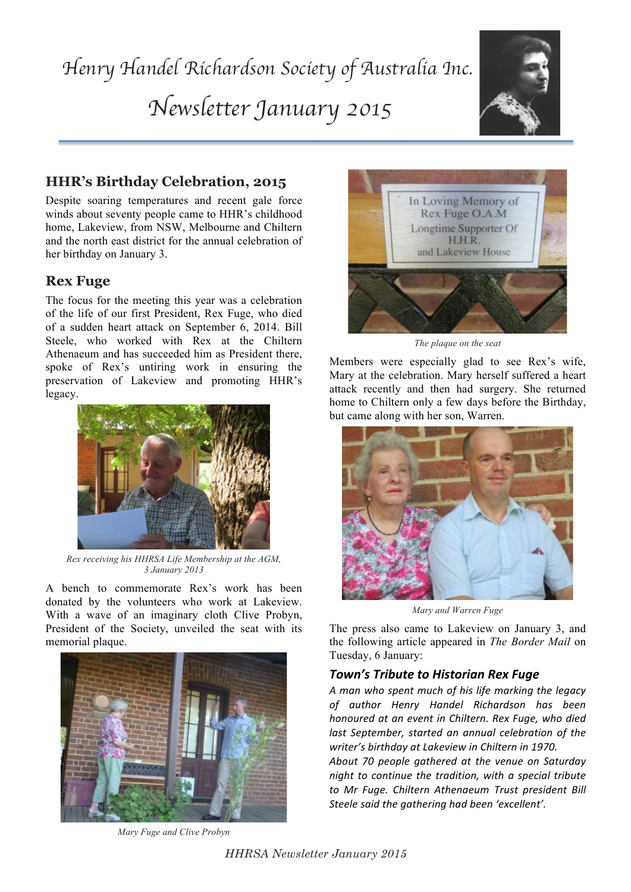

# **HHR's Birthday Celebration, 2015**

Despite soaring temperatures and recent gale force winds about seventy people came to HHR's childhood home, Lakeview, from NSW, Melbourne and Chiltern and the north east district for the annual celebration of her birthday on January 3.

## **Rex Fuge**

The focus for the meeting this year was a celebration of the life of our first President, Rex Fuge, who died of a sudden heart attack on September 6, 2014. Bill Steele, who worked with Rex at the Chiltern Athenaeum and has succeeded him as President there, spoke of Rex's untiring work in ensuring the preservation of Lakeview and promoting HHR's legacy.



*Rex receiving his HHRSA Life Membership at the AGM, 3 January 2013*

A bench to commemorate Rex's work has been donated by the volunteers who work at Lakeview. With a wave of an imaginary cloth Clive Probyn, President of the Society, unveiled the seat with its memorial plaque.



*Mary Fuge and Clive Probyn*



*The plaque on the seat*

Members were especially glad to see Rex's wife, Mary at the celebration. Mary herself suffered a heart attack recently and then had surgery. She returned home to Chiltern only a few days before the Birthday, but came along with her son, Warren.



*Mary and Warren Fuge*

The press also came to Lakeview on January 3, and the following article appeared in *The Border Mail* on Tuesday, 6 January:

### **Town's Tribute to Historian Rex Fuge**

*A"man"who"spent"much"of"his"life"marking"the"legacy" of" author" Henry" Handel" Richardson" has" been" honoured"at"an"event"in"Chiltern."Rex"Fuge,"who"died"* last September, started an annual celebration of the writer's birthday at Lakeview in Chiltern in 1970.

*About" 70" people" gathered" at" the" venue" on" Saturday" night to continue the tradition, with a special tribute to" Mr" Fuge." Chiltern" Athenaeum Trust" president" Bill"* Steele said the gathering had been 'excellent'.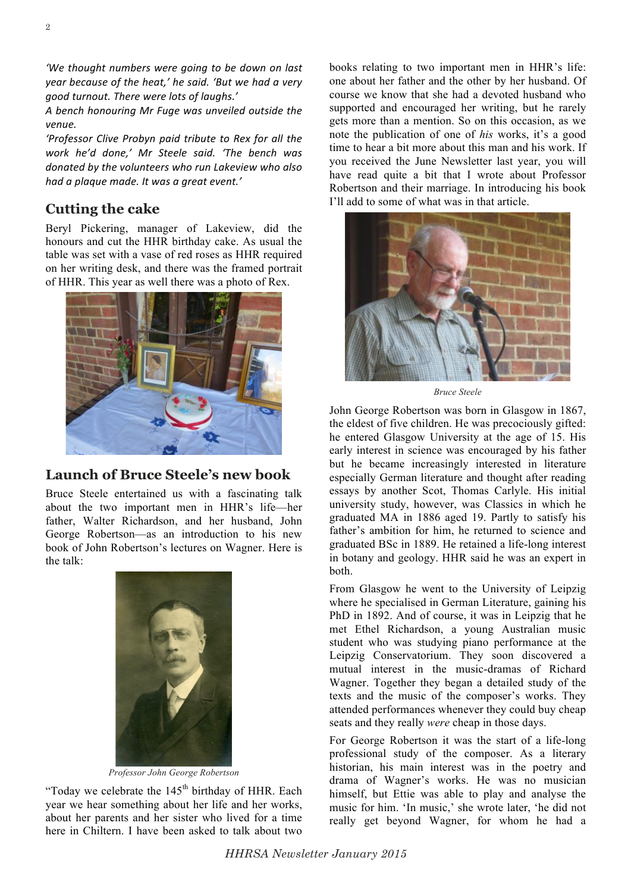*'We thought numbers were going to be down on last year because of the heat,' he said. 'But we had a very"* good turnout. There were lots of laughs.'

A bench honouring Mr Fuge was unveiled outside the *venue.*

'Professor Clive Probyn paid tribute to Rex for all the *work" he'd" done,' Mr" Steele" said. 'The" bench was"* donated by the volunteers who run Lakeview who also had a plaque made. It was a great event.'

## **Cutting the cake**

Beryl Pickering, manager of Lakeview, did the honours and cut the HHR birthday cake. As usual the table was set with a vase of red roses as HHR required on her writing desk, and there was the framed portrait of HHR. This year as well there was a photo of Rex.



### **Launch of Bruce Steele's new book**

Bruce Steele entertained us with a fascinating talk about the two important men in HHR's life—her father, Walter Richardson, and her husband, John George Robertson—as an introduction to his new book of John Robertson's lectures on Wagner. Here is the talk:



*Professor John George Robertson*

"Today we celebrate the  $145<sup>th</sup>$  birthday of HHR. Each year we hear something about her life and her works, about her parents and her sister who lived for a time here in Chiltern. I have been asked to talk about two

books relating to two important men in HHR's life: one about her father and the other by her husband. Of course we know that she had a devoted husband who supported and encouraged her writing, but he rarely gets more than a mention. So on this occasion, as we note the publication of one of *his* works, it's a good time to hear a bit more about this man and his work. If you received the June Newsletter last year, you will have read quite a bit that I wrote about Professor Robertson and their marriage. In introducing his book I'll add to some of what was in that article.



*Bruce Steele*

John George Robertson was born in Glasgow in 1867, the eldest of five children. He was precociously gifted: he entered Glasgow University at the age of 15. His early interest in science was encouraged by his father but he became increasingly interested in literature especially German literature and thought after reading essays by another Scot, Thomas Carlyle. His initial university study, however, was Classics in which he graduated MA in 1886 aged 19. Partly to satisfy his father's ambition for him, he returned to science and graduated BSc in 1889. He retained a life-long interest in botany and geology. HHR said he was an expert in both.

From Glasgow he went to the University of Leipzig where he specialised in German Literature, gaining his PhD in 1892. And of course, it was in Leipzig that he met Ethel Richardson, a young Australian music student who was studying piano performance at the Leipzig Conservatorium. They soon discovered a mutual interest in the music-dramas of Richard Wagner. Together they began a detailed study of the texts and the music of the composer's works. They attended performances whenever they could buy cheap seats and they really *were* cheap in those days.

For George Robertson it was the start of a life-long professional study of the composer. As a literary historian, his main interest was in the poetry and drama of Wagner's works. He was no musician himself, but Ettie was able to play and analyse the music for him. 'In music,' she wrote later, 'he did not really get beyond Wagner, for whom he had a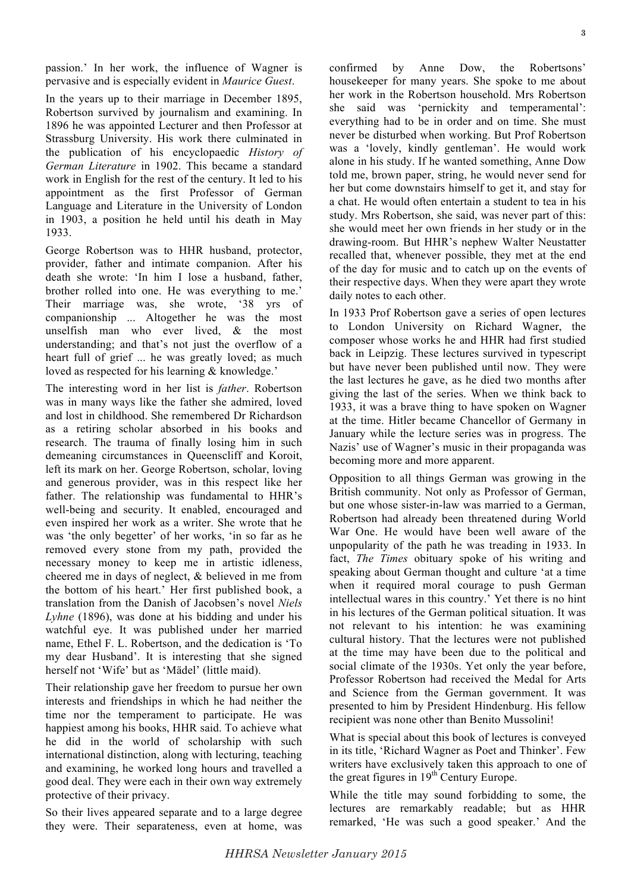passion.' In her work, the influence of Wagner is pervasive and is especially evident in *Maurice Guest*.

In the years up to their marriage in December 1895, Robertson survived by journalism and examining. In 1896 he was appointed Lecturer and then Professor at Strassburg University. His work there culminated in the publication of his encyclopaedic *History of German Literature* in 1902. This became a standard work in English for the rest of the century. It led to his appointment as the first Professor of German Language and Literature in the University of London in 1903, a position he held until his death in May 1933.

George Robertson was to HHR husband, protector, provider, father and intimate companion. After his death she wrote: 'In him I lose a husband, father, brother rolled into one. He was everything to me.' Their marriage was, she wrote, '38 yrs of companionship ... Altogether he was the most unselfish man who ever lived, & the most understanding; and that's not just the overflow of a heart full of grief ... he was greatly loved; as much loved as respected for his learning & knowledge.'

The interesting word in her list is *father*. Robertson was in many ways like the father she admired, loved and lost in childhood. She remembered Dr Richardson as a retiring scholar absorbed in his books and research. The trauma of finally losing him in such demeaning circumstances in Queenscliff and Koroit, left its mark on her. George Robertson, scholar, loving and generous provider, was in this respect like her father. The relationship was fundamental to HHR's well-being and security. It enabled, encouraged and even inspired her work as a writer. She wrote that he was 'the only begetter' of her works, 'in so far as he removed every stone from my path, provided the necessary money to keep me in artistic idleness, cheered me in days of neglect, & believed in me from the bottom of his heart.' Her first published book, a translation from the Danish of Jacobsen's novel *Niels Lyhne* (1896), was done at his bidding and under his watchful eye. It was published under her married name, Ethel F. L. Robertson, and the dedication is 'To my dear Husband'. It is interesting that she signed herself not 'Wife' but as 'Mädel' (little maid).

Their relationship gave her freedom to pursue her own interests and friendships in which he had neither the time nor the temperament to participate. He was happiest among his books, HHR said. To achieve what he did in the world of scholarship with such international distinction, along with lecturing, teaching and examining, he worked long hours and travelled a good deal. They were each in their own way extremely protective of their privacy.

So their lives appeared separate and to a large degree they were. Their separateness, even at home, was

**3**

confirmed by Anne Dow, the Robertsons' housekeeper for many years. She spoke to me about her work in the Robertson household. Mrs Robertson she said was 'pernickity and temperamental': everything had to be in order and on time. She must never be disturbed when working. But Prof Robertson was a 'lovely, kindly gentleman'. He would work alone in his study. If he wanted something, Anne Dow told me, brown paper, string, he would never send for her but come downstairs himself to get it, and stay for a chat. He would often entertain a student to tea in his study. Mrs Robertson, she said, was never part of this: she would meet her own friends in her study or in the drawing-room. But HHR's nephew Walter Neustatter recalled that, whenever possible, they met at the end of the day for music and to catch up on the events of their respective days. When they were apart they wrote daily notes to each other.

In 1933 Prof Robertson gave a series of open lectures to London University on Richard Wagner, the composer whose works he and HHR had first studied back in Leipzig. These lectures survived in typescript but have never been published until now. They were the last lectures he gave, as he died two months after giving the last of the series. When we think back to 1933, it was a brave thing to have spoken on Wagner at the time. Hitler became Chancellor of Germany in January while the lecture series was in progress. The Nazis' use of Wagner's music in their propaganda was becoming more and more apparent.

Opposition to all things German was growing in the British community. Not only as Professor of German, but one whose sister-in-law was married to a German, Robertson had already been threatened during World War One. He would have been well aware of the unpopularity of the path he was treading in 1933. In fact, *The Times* obituary spoke of his writing and speaking about German thought and culture 'at a time when it required moral courage to push German intellectual wares in this country.' Yet there is no hint in his lectures of the German political situation. It was not relevant to his intention: he was examining cultural history. That the lectures were not published at the time may have been due to the political and social climate of the 1930s. Yet only the year before, Professor Robertson had received the Medal for Arts and Science from the German government. It was presented to him by President Hindenburg. His fellow recipient was none other than Benito Mussolini!

What is special about this book of lectures is conveyed in its title, 'Richard Wagner as Poet and Thinker'. Few writers have exclusively taken this approach to one of the great figures in  $19<sup>th</sup>$  Century Europe.

While the title may sound forbidding to some, the lectures are remarkably readable; but as HHR remarked, 'He was such a good speaker.' And the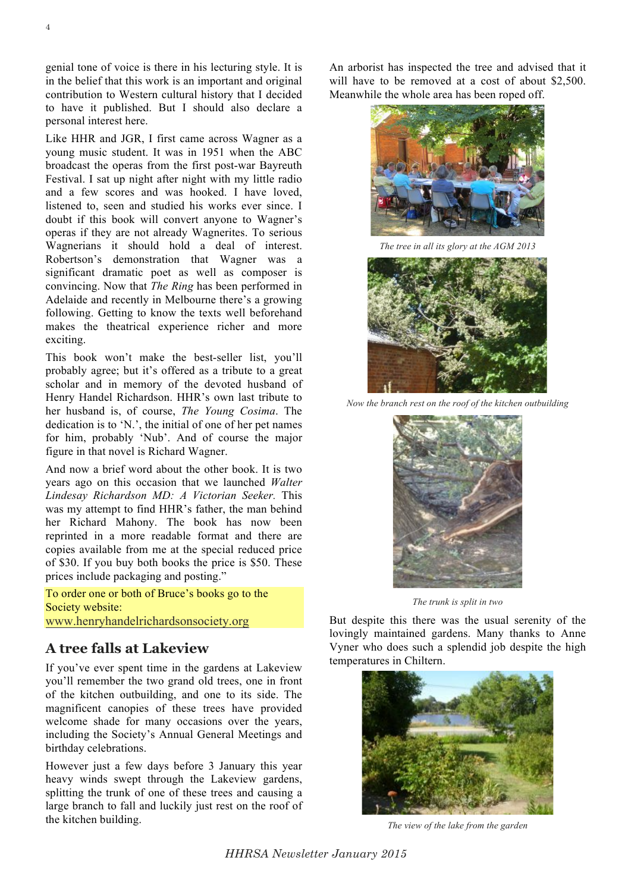genial tone of voice is there in his lecturing style. It is in the belief that this work is an important and original contribution to Western cultural history that I decided to have it published. But I should also declare a personal interest here.

Like HHR and JGR, I first came across Wagner as a young music student. It was in 1951 when the ABC broadcast the operas from the first post-war Bayreuth Festival. I sat up night after night with my little radio and a few scores and was hooked. I have loved, listened to, seen and studied his works ever since. I doubt if this book will convert anyone to Wagner's operas if they are not already Wagnerites. To serious Wagnerians it should hold a deal of interest. Robertson's demonstration that Wagner was a significant dramatic poet as well as composer is convincing. Now that *The Ring* has been performed in Adelaide and recently in Melbourne there's a growing following. Getting to know the texts well beforehand makes the theatrical experience richer and more exciting.

This book won't make the best-seller list, you'll probably agree; but it's offered as a tribute to a great scholar and in memory of the devoted husband of Henry Handel Richardson. HHR's own last tribute to her husband is, of course, *The Young Cosima*. The dedication is to 'N.', the initial of one of her pet names for him, probably 'Nub'. And of course the major figure in that novel is Richard Wagner.

And now a brief word about the other book. It is two years ago on this occasion that we launched *Walter Lindesay Richardson MD: A Victorian Seeker.* This was my attempt to find HHR's father, the man behind her Richard Mahony. The book has now been reprinted in a more readable format and there are copies available from me at the special reduced price of \$30. If you buy both books the price is \$50. These prices include packaging and posting."

To order one or both of Bruce's books go to the Society website: www.henryhandelrichardsonsociety.org

### **A tree falls at Lakeview**

If you've ever spent time in the gardens at Lakeview you'll remember the two grand old trees, one in front of the kitchen outbuilding, and one to its side. The magnificent canopies of these trees have provided welcome shade for many occasions over the years, including the Society's Annual General Meetings and birthday celebrations.

However just a few days before 3 January this year heavy winds swept through the Lakeview gardens, splitting the trunk of one of these trees and causing a large branch to fall and luckily just rest on the roof of the kitchen building.

An arborist has inspected the tree and advised that it will have to be removed at a cost of about \$2,500. Meanwhile the whole area has been roped off.



*The tree in all its glory at the AGM 2013*



*Now the branch rest on the roof of the kitchen outbuilding*



*The trunk is split in two*

But despite this there was the usual serenity of the lovingly maintained gardens. Many thanks to Anne Vyner who does such a splendid job despite the high temperatures in Chiltern.



*The view of the lake from the garden*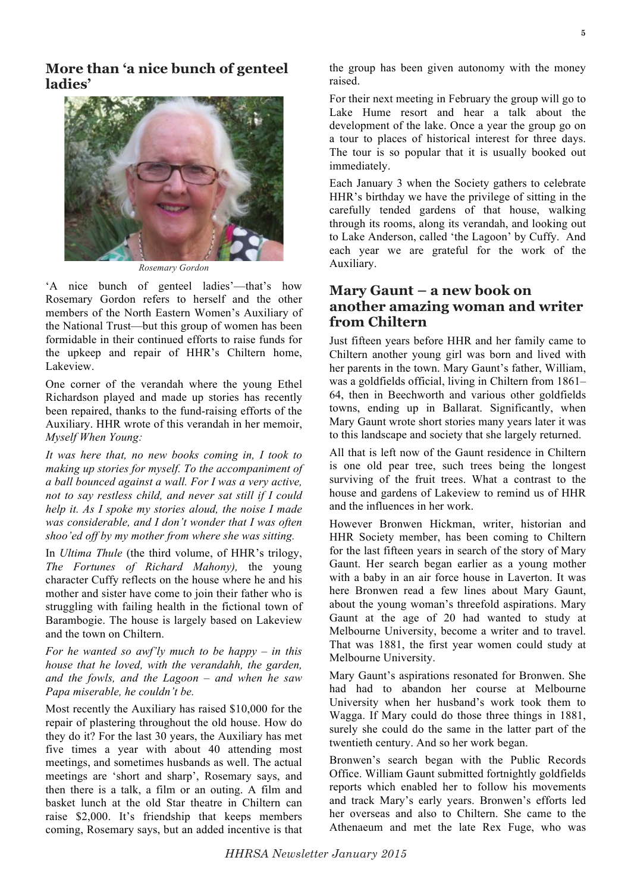

*Rosemary Gordon*

'A nice bunch of genteel ladies'—that's how Rosemary Gordon refers to herself and the other members of the North Eastern Women's Auxiliary of the National Trust—but this group of women has been formidable in their continued efforts to raise funds for the upkeep and repair of HHR's Chiltern home, Lakeview.

One corner of the verandah where the young Ethel Richardson played and made up stories has recently been repaired, thanks to the fund-raising efforts of the Auxiliary. HHR wrote of this verandah in her memoir, *Myself When Young:*

*It was here that, no new books coming in, I took to making up stories for myself. To the accompaniment of a ball bounced against a wall. For I was a very active, not to say restless child, and never sat still if I could help it. As I spoke my stories aloud, the noise I made was considerable, and I don't wonder that I was often shoo'ed off by my mother from where she was sitting.*

In *Ultima Thule* (the third volume, of HHR's trilogy, *The Fortunes of Richard Mahony),* the young character Cuffy reflects on the house where he and his mother and sister have come to join their father who is struggling with failing health in the fictional town of Barambogie. The house is largely based on Lakeview and the town on Chiltern.

*For he wanted so awf'ly much to be happy – in this house that he loved, with the verandahh, the garden, and the fowls, and the Lagoon – and when he saw Papa miserable, he couldn't be.*

Most recently the Auxiliary has raised \$10,000 for the repair of plastering throughout the old house. How do they do it? For the last 30 years, the Auxiliary has met five times a year with about 40 attending most meetings, and sometimes husbands as well. The actual meetings are 'short and sharp', Rosemary says, and then there is a talk, a film or an outing. A film and basket lunch at the old Star theatre in Chiltern can raise \$2,000. It's friendship that keeps members coming, Rosemary says, but an added incentive is that the group has been given autonomy with the money raised.

For their next meeting in February the group will go to Lake Hume resort and hear a talk about the development of the lake. Once a year the group go on a tour to places of historical interest for three days. The tour is so popular that it is usually booked out immediately.

Each January 3 when the Society gathers to celebrate HHR's birthday we have the privilege of sitting in the carefully tended gardens of that house, walking through its rooms, along its verandah, and looking out to Lake Anderson, called 'the Lagoon' by Cuffy. And each year we are grateful for the work of the Auxiliary.

### **Mary Gaunt – a new book on another amazing woman and writer from Chiltern**

Just fifteen years before HHR and her family came to Chiltern another young girl was born and lived with her parents in the town. Mary Gaunt's father, William, was a goldfields official, living in Chiltern from 1861– 64, then in Beechworth and various other goldfields towns, ending up in Ballarat. Significantly, when Mary Gaunt wrote short stories many years later it was to this landscape and society that she largely returned.

All that is left now of the Gaunt residence in Chiltern is one old pear tree, such trees being the longest surviving of the fruit trees. What a contrast to the house and gardens of Lakeview to remind us of HHR and the influences in her work.

However Bronwen Hickman, writer, historian and HHR Society member, has been coming to Chiltern for the last fifteen years in search of the story of Mary Gaunt. Her search began earlier as a young mother with a baby in an air force house in Laverton. It was here Bronwen read a few lines about Mary Gaunt, about the young woman's threefold aspirations. Mary Gaunt at the age of 20 had wanted to study at Melbourne University, become a writer and to travel. That was 1881, the first year women could study at Melbourne University.

Mary Gaunt's aspirations resonated for Bronwen. She had had to abandon her course at Melbourne University when her husband's work took them to Wagga. If Mary could do those three things in 1881, surely she could do the same in the latter part of the twentieth century. And so her work began.

Bronwen's search began with the Public Records Office. William Gaunt submitted fortnightly goldfields reports which enabled her to follow his movements and track Mary's early years. Bronwen's efforts led her overseas and also to Chiltern. She came to the Athenaeum and met the late Rex Fuge, who was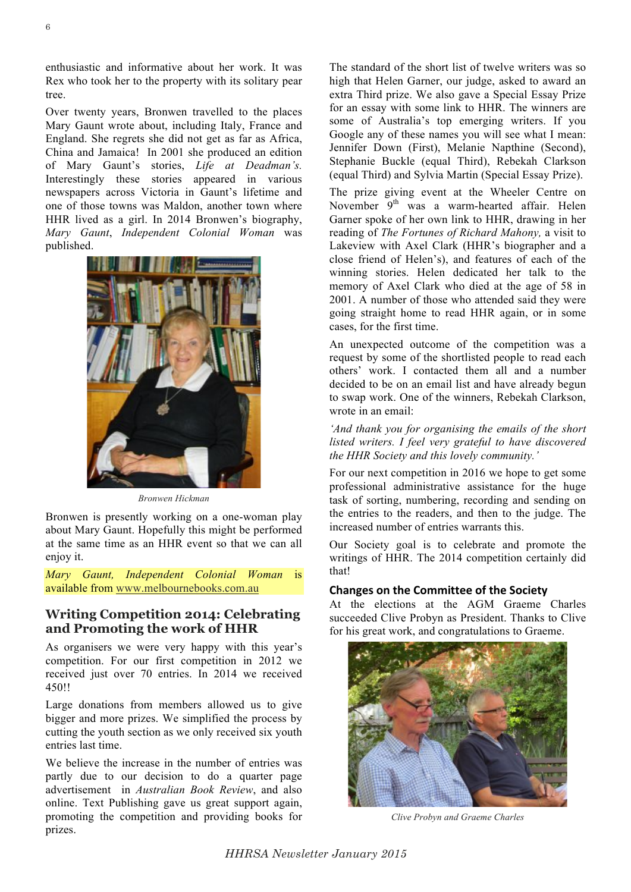enthusiastic and informative about her work. It was Rex who took her to the property with its solitary pear tree.

Over twenty years, Bronwen travelled to the places Mary Gaunt wrote about, including Italy, France and England. She regrets she did not get as far as Africa, China and Jamaica! In 2001 she produced an edition of Mary Gaunt's stories, *Life at Deadman's.*  Interestingly these stories appeared in various newspapers across Victoria in Gaunt's lifetime and one of those towns was Maldon, another town where HHR lived as a girl. In 2014 Bronwen's biography, *Mary Gaunt*, *Independent Colonial Woman* was published.



*Bronwen Hickman*

Bronwen is presently working on a one-woman play about Mary Gaunt. Hopefully this might be performed at the same time as an HHR event so that we can all enjoy it.

*Mary Gaunt, Independent Colonial Woman* is available from www.melbournebooks.com.au

### **Writing Competition 2014: Celebrating and Promoting the work of HHR**

As organisers we were very happy with this year's competition. For our first competition in 2012 we received just over 70 entries. In 2014 we received 450!!

Large donations from members allowed us to give bigger and more prizes. We simplified the process by cutting the youth section as we only received six youth entries last time.

We believe the increase in the number of entries was partly due to our decision to do a quarter page advertisement in *Australian Book Review*, and also online. Text Publishing gave us great support again, promoting the competition and providing books for prizes.

The standard of the short list of twelve writers was so high that Helen Garner, our judge, asked to award an extra Third prize. We also gave a Special Essay Prize for an essay with some link to HHR. The winners are some of Australia's top emerging writers. If you Google any of these names you will see what I mean: Jennifer Down (First), Melanie Napthine (Second), Stephanie Buckle (equal Third), Rebekah Clarkson (equal Third) and Sylvia Martin (Special Essay Prize).

The prize giving event at the Wheeler Centre on November 9<sup>th</sup> was a warm-hearted affair. Helen Garner spoke of her own link to HHR, drawing in her reading of *The Fortunes of Richard Mahony,* a visit to Lakeview with Axel Clark (HHR's biographer and a close friend of Helen's), and features of each of the winning stories. Helen dedicated her talk to the memory of Axel Clark who died at the age of 58 in 2001. A number of those who attended said they were going straight home to read HHR again, or in some cases, for the first time.

An unexpected outcome of the competition was a request by some of the shortlisted people to read each others' work. I contacted them all and a number decided to be on an email list and have already begun to swap work. One of the winners, Rebekah Clarkson, wrote in an email:

*'And thank you for organising the emails of the short listed writers. I feel very grateful to have discovered the HHR Society and this lovely community.'*

For our next competition in 2016 we hope to get some professional administrative assistance for the huge task of sorting, numbering, recording and sending on the entries to the readers, and then to the judge. The increased number of entries warrants this.

Our Society goal is to celebrate and promote the writings of HHR. The 2014 competition certainly did that!

#### **Changes on the Committee of the Society**

At the elections at the AGM Graeme Charles succeeded Clive Probyn as President. Thanks to Clive for his great work, and congratulations to Graeme.



*Clive Probyn and Graeme Charles*